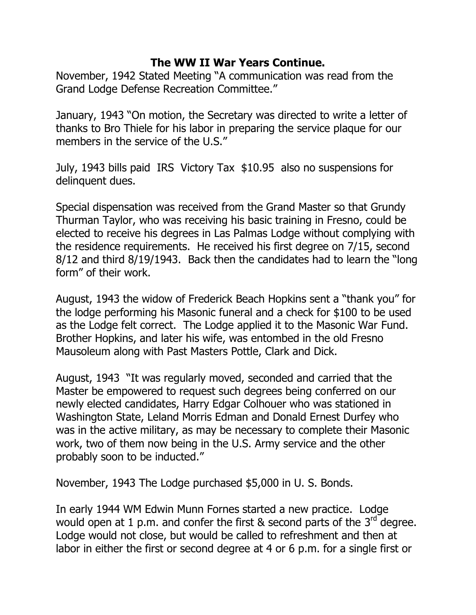## **The WW II War Years Continue.**

November, 1942 Stated Meeting "A communication was read from the Grand Lodge Defense Recreation Committee."

January, 1943 "On motion, the Secretary was directed to write a letter of thanks to Bro Thiele for his labor in preparing the service plaque for our members in the service of the U.S."

July, 1943 bills paid IRS Victory Tax \$10.95 also no suspensions for delinquent dues.

Special dispensation was received from the Grand Master so that Grundy Thurman Taylor, who was receiving his basic training in Fresno, could be elected to receive his degrees in Las Palmas Lodge without complying with the residence requirements. He received his first degree on 7/15, second 8/12 and third 8/19/1943. Back then the candidates had to learn the "long form" of their work.

August, 1943 the widow of Frederick Beach Hopkins sent a "thank you" for the lodge performing his Masonic funeral and a check for \$100 to be used as the Lodge felt correct. The Lodge applied it to the Masonic War Fund. Brother Hopkins, and later his wife, was entombed in the old Fresno Mausoleum along with Past Masters Pottle, Clark and Dick.

August, 1943 "It was regularly moved, seconded and carried that the Master be empowered to request such degrees being conferred on our newly elected candidates, Harry Edgar Colhouer who was stationed in Washington State, Leland Morris Edman and Donald Ernest Durfey who was in the active military, as may be necessary to complete their Masonic work, two of them now being in the U.S. Army service and the other probably soon to be inducted."

November, 1943 The Lodge purchased \$5,000 in U. S. Bonds.

In early 1944 WM Edwin Munn Fornes started a new practice. Lodge would open at 1 p.m. and confer the first & second parts of the  $3^{rd}$  degree. Lodge would not close, but would be called to refreshment and then at labor in either the first or second degree at 4 or 6 p.m. for a single first or